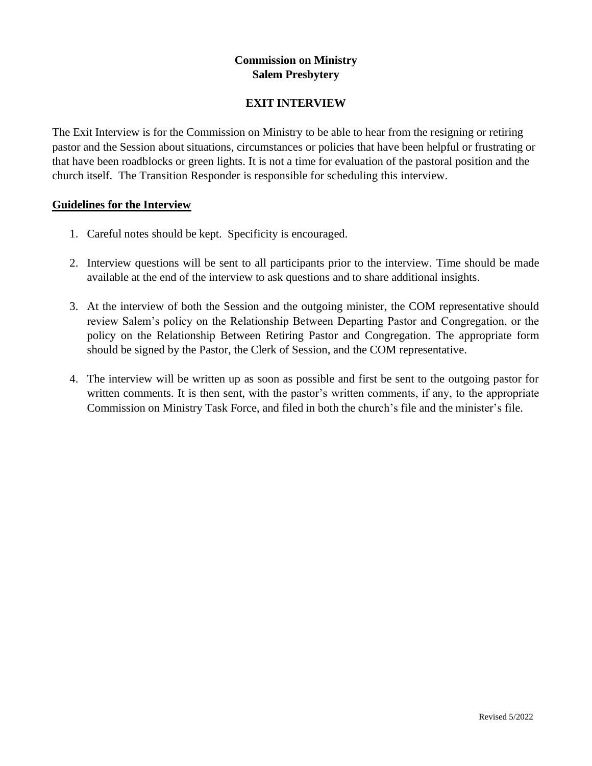# **Commission on Ministry Salem Presbytery**

# **EXIT INTERVIEW**

The Exit Interview is for the Commission on Ministry to be able to hear from the resigning or retiring pastor and the Session about situations, circumstances or policies that have been helpful or frustrating or that have been roadblocks or green lights. It is not a time for evaluation of the pastoral position and the church itself. The Transition Responder is responsible for scheduling this interview.

## **Guidelines for the Interview**

- 1. Careful notes should be kept. Specificity is encouraged.
- 2. Interview questions will be sent to all participants prior to the interview. Time should be made available at the end of the interview to ask questions and to share additional insights.
- 3. At the interview of both the Session and the outgoing minister, the COM representative should review Salem's policy on the Relationship Between Departing Pastor and Congregation, or the policy on the Relationship Between Retiring Pastor and Congregation. The appropriate form should be signed by the Pastor, the Clerk of Session, and the COM representative.
- 4. The interview will be written up as soon as possible and first be sent to the outgoing pastor for written comments. It is then sent, with the pastor's written comments, if any, to the appropriate Commission on Ministry Task Force, and filed in both the church's file and the minister's file.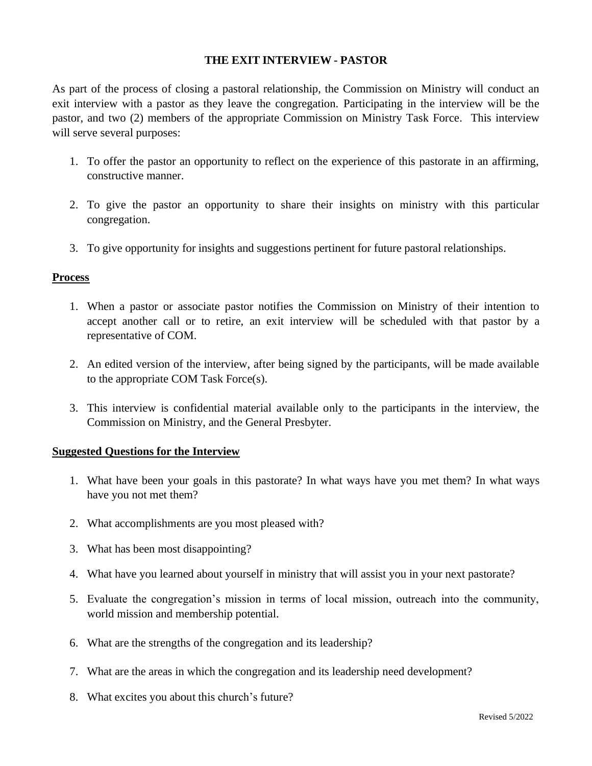## **THE EXIT INTERVIEW - PASTOR**

As part of the process of closing a pastoral relationship, the Commission on Ministry will conduct an exit interview with a pastor as they leave the congregation. Participating in the interview will be the pastor, and two (2) members of the appropriate Commission on Ministry Task Force. This interview will serve several purposes:

- 1. To offer the pastor an opportunity to reflect on the experience of this pastorate in an affirming, constructive manner.
- 2. To give the pastor an opportunity to share their insights on ministry with this particular congregation.
- 3. To give opportunity for insights and suggestions pertinent for future pastoral relationships.

### **Process**

- 1. When a pastor or associate pastor notifies the Commission on Ministry of their intention to accept another call or to retire, an exit interview will be scheduled with that pastor by a representative of COM.
- 2. An edited version of the interview, after being signed by the participants, will be made available to the appropriate COM Task Force(s).
- 3. This interview is confidential material available only to the participants in the interview, the Commission on Ministry, and the General Presbyter.

## **Suggested Questions for the Interview**

- 1. What have been your goals in this pastorate? In what ways have you met them? In what ways have you not met them?
- 2. What accomplishments are you most pleased with?
- 3. What has been most disappointing?
- 4. What have you learned about yourself in ministry that will assist you in your next pastorate?
- 5. Evaluate the congregation's mission in terms of local mission, outreach into the community, world mission and membership potential.
- 6. What are the strengths of the congregation and its leadership?
- 7. What are the areas in which the congregation and its leadership need development?
- 8. What excites you about this church's future?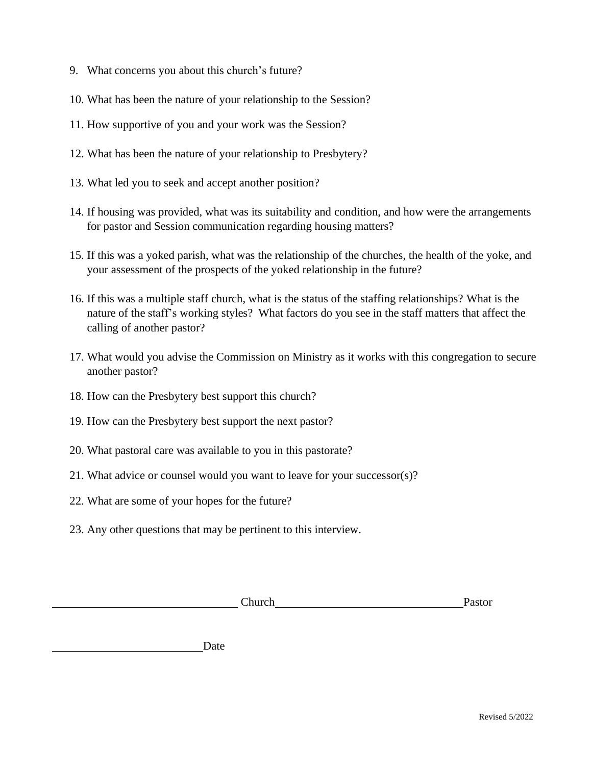- 9. What concerns you about this church's future?
- 10. What has been the nature of your relationship to the Session?
- 11. How supportive of you and your work was the Session?
- 12. What has been the nature of your relationship to Presbytery?
- 13. What led you to seek and accept another position?
- 14. If housing was provided, what was its suitability and condition, and how were the arrangements for pastor and Session communication regarding housing matters?
- 15. If this was a yoked parish, what was the relationship of the churches, the health of the yoke, and your assessment of the prospects of the yoked relationship in the future?
- 16. If this was a multiple staff church, what is the status of the staffing relationships? What is the nature of the staff's working styles? What factors do you see in the staff matters that affect the calling of another pastor?
- 17. What would you advise the Commission on Ministry as it works with this congregation to secure another pastor?
- 18. How can the Presbytery best support this church?
- 19. How can the Presbytery best support the next pastor?
- 20. What pastoral care was available to you in this pastorate?
- 21. What advice or counsel would you want to leave for your successor(s)?
- 22. What are some of your hopes for the future?
- 23. Any other questions that may be pertinent to this interview.

Date

| Church<br>. | aswi |
|-------------|------|
|             |      |
|             |      |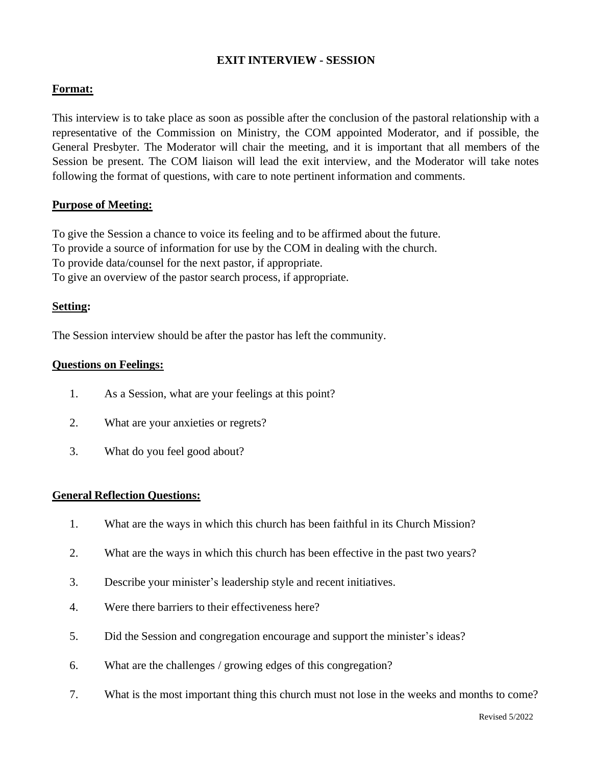# **EXIT INTERVIEW - SESSION**

# **Format:**

This interview is to take place as soon as possible after the conclusion of the pastoral relationship with a representative of the Commission on Ministry, the COM appointed Moderator, and if possible, the General Presbyter. The Moderator will chair the meeting, and it is important that all members of the Session be present. The COM liaison will lead the exit interview, and the Moderator will take notes following the format of questions, with care to note pertinent information and comments.

## **Purpose of Meeting:**

To give the Session a chance to voice its feeling and to be affirmed about the future. To provide a source of information for use by the COM in dealing with the church. To provide data/counsel for the next pastor, if appropriate. To give an overview of the pastor search process, if appropriate.

### **Setting:**

The Session interview should be after the pastor has left the community.

### **Questions on Feelings:**

- 1. As a Session, what are your feelings at this point?
- 2. What are your anxieties or regrets?
- 3. What do you feel good about?

#### **General Reflection Questions:**

- 1. What are the ways in which this church has been faithful in its Church Mission?
- 2. What are the ways in which this church has been effective in the past two years?
- 3. Describe your minister's leadership style and recent initiatives.
- 4. Were there barriers to their effectiveness here?
- 5. Did the Session and congregation encourage and support the minister's ideas?
- 6. What are the challenges / growing edges of this congregation?
- 7. What is the most important thing this church must not lose in the weeks and months to come?